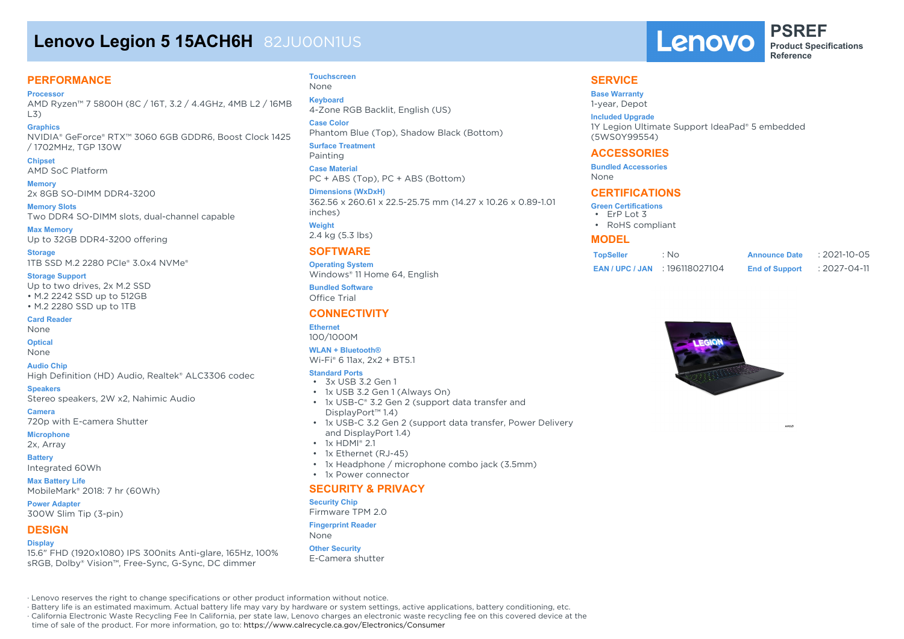# **Lenovo Legion 5 15ACH6H** 82JU00N1US

### **PERFORMANCE**

**Processor**

AMD Ryzen™ 7 5800H (8C / 16T, 3.2 / 4.4GHz, 4MB L2 / 16MB L3)

- **Graphics** NVIDIA® GeForce® RTX™ 3060 6GB GDDR6, Boost Clock 1425 / 1702MHz, TGP 130W
- **Chipset** AMD SoC Platform

**Memory** 2x 8GB SO-DIMM DDR4-3200

**Memory Slots** Two DDR4 SO-DIMM slots, dual-channel capable

**Max Memory** Up to 32GB DDR4-3200 offering

**Storage** 1TB SSD M.2 2280 PCIe® 3.0x4 NVMe®

#### **Storage Support**

Up to two drives, 2x M.2 SSD • M.2 2242 SSD up to 512GB • M.2 2280 SSD up to 1TB

#### **Card Reader**

None

### **Optical**

None

#### **Audio Chip**

High Definition (HD) Audio, Realtek® ALC3306 codec

**Speakers**

Stereo speakers, 2W x2, Nahimic Audio

**Camera**

720p with E-camera Shutter **Microphone**

2x, Array

**Battery** Integrated 60Wh

**Max Battery Life** MobileMark® 2018: 7 hr (60Wh)

**Power Adapter** 300W Slim Tip (3-pin)

#### **DESIGN**

#### **Display**

15.6" FHD (1920x1080) IPS 300nits Anti-glare, 165Hz, 100% sRGB, Dolby® Vision™, Free-Sync, G-Sync, DC dimmer

#### **Touchscreen** None

**Keyboard** 4-Zone RGB Backlit, English (US)

**Case Color** Phantom Blue (Top), Shadow Black (Bottom) **Surface Treatment**

Painting **Case Material** PC + ABS (Top), PC + ABS (Bottom)

**Dimensions (WxDxH)** 362.56 x 260.61 x 22.5-25.75 mm (14.27 x 10.26 x 0.89-1.01 inches) **Weight** 2.4 kg (5.3 lbs)

### **SOFTWARE**

**Operating System** Windows® 11 Home 64, English

**Bundled Software** Office Trial

### **CONNECTIVITY**

**Ethernet** 100/1000M

#### **WLAN + Bluetooth®**

Wi-Fi® 6 11ax, 2x2 + BT5.1

#### **Standard Ports**

- $\cdot$  3x USB 32 Gen 1
- 1x USB 3.2 Gen 1 (Always On)
- 1x USB-C® 3.2 Gen 2 (support data transfer and DisplayPort™ 1.4)
- 1x USB-C 3.2 Gen 2 (support data transfer, Power Delivery and DisplayPort 1.4)
- 1x HDMI® 2.1
- 1x Ethernet (RJ-45)
- 1x Headphone / microphone combo jack (3.5mm)
- 1x Power connector

#### **SECURITY & PRIVACY**

#### **Security Chip**

Firmware TPM 2.0

#### **Fingerprint Reader**

None

#### **Other Security** E-Camera shutter

· Lenovo reserves the right to change specifications or other product information without notice.

· Battery life is an estimated maximum. Actual battery life may vary by hardware or system settings, active applications, battery conditioning, etc.

· California Electronic Waste Recycling Fee In California, per state law, Lenovo charges an electronic waste recycling fee on this covered device at the

time of sale of the product. For more information, go to: https://www.calrecycle.ca.gov/Electronics/Consumer

### **SERVICE**

#### **Base Warranty**

1-year, Depot

#### **Included Upgrade**

1Y Legion Ultimate Support IdeaPad® 5 embedded (5WS0Y99554)

Lenovo

#### **ACCESSORIES**

**Bundled Accessories** None

#### **CERTIFICATIONS**

- **Green Certifications**
- ErP Lot 3
- RoHS compliant

#### **MODEL**

| <b>TopSeller</b> | : No                             | <b>Announce Date</b>  | $: 2021 - 10 - 05$ |
|------------------|----------------------------------|-----------------------|--------------------|
|                  | <b>EAN/UPC/JAN: 196118027104</b> | <b>End of Support</b> | $: 2027 - 04 - 11$ |



**Product Specifications Reference**

**PSREF**